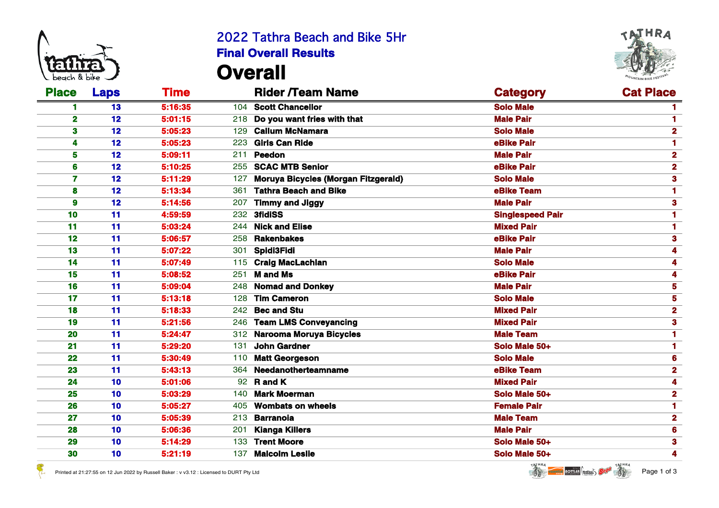

 $\mathcal{E}_{\mu}$ 

## 2022 Tathra Beach and Bike 5Hr **Final Overall Results Overall**



| <b>Place</b> | <b>Laps</b> | Time    | <b>Rider /Team Name</b>                           | <b>Category</b>         | <b>Cat Place</b> |
|--------------|-------------|---------|---------------------------------------------------|-------------------------|------------------|
|              | 13          | 5:16:35 | 104 Scott Chancellor                              | <b>Solo Male</b>        |                  |
| $\mathbf 2$  | 12          | 5:01:15 | 218 Do you want fries with that                   | <b>Male Pair</b>        |                  |
| 3            | 12          | 5:05:23 | 129 Callum McNamara                               | <b>Solo Male</b>        |                  |
| 4            | 12          | 5:05:23 | 223 Girls Can Ride                                | eBike Pair              |                  |
| 5            | 12          | 5:09:11 | 211 Peedon                                        | <b>Male Pair</b>        | 2                |
| 6            | 12          | 5:10:25 | 255 SCAC MTB Senior                               | eBike Pair              | $\overline{2}$   |
| 7            | 12          | 5:11:29 | <b>Moruya Bicycles (Morgan Fitzgerald)</b><br>127 | <b>Solo Male</b>        |                  |
| 8            | 12          | 5:13:34 | 361 Tathra Beach and Bike                         | eBike Team              |                  |
| 9            | 12          | 5:14:56 | 207 Timmy and Jiggy                               | <b>Male Pair</b>        |                  |
| 10           | 11          | 4:59:59 | 232 3fidiSS                                       | <b>Singlespeed Pair</b> |                  |
| 11           | 11          | 5:03:24 | 244 Nick and Elise                                | <b>Mixed Pair</b>       |                  |
| 12           | 11          | 5:06:57 | 258 Rakenbakes                                    | eBike Pair              |                  |
| 13           | 11          | 5:07:22 | 301 Spidi3Fidi                                    | <b>Male Pair</b>        |                  |
| 14           | 11          | 5:07:49 | 115 Craig MacLachlan                              | <b>Solo Male</b>        |                  |
| 15           | 11          | 5:08:52 | 251 <b>M and Ms</b>                               | eBike Pair              |                  |
| 16           | 11          | 5:09:04 | 248 Nomad and Donkey                              | <b>Male Pair</b>        |                  |
| 17           | 11          | 5:13:18 | 128 Tim Cameron                                   | <b>Solo Male</b>        |                  |
| 18           | 11          | 5:18:33 | 242 Bec and Stu                                   | <b>Mixed Pair</b>       |                  |
| 19           | 11          | 5:21:56 | 246 Team LMS Conveyancing                         | <b>Mixed Pair</b>       |                  |
| 20           | 11          | 5:24:47 | 312 Narooma Moruya Bicycles                       | <b>Male Team</b>        |                  |
| 21           | 11          | 5:29:20 | <b>John Gardner</b><br>131                        | Solo Male 50+           |                  |
| 22           | 11          | 5:30:49 | 110 Matt Georgeson                                | <b>Solo Male</b>        |                  |
| 23           | 11          | 5:43:13 | 364 Needanotherteamname                           | eBike Team              |                  |
| 24           | 10          | 5:01:06 | 92 <b>R</b> and <b>K</b>                          | <b>Mixed Pair</b>       |                  |
| 25           | 10          | 5:03:29 | 140 Mark Moerman                                  | Solo Male 50+           |                  |
| 26           | 10          | 5:05:27 | <b>Wombats on wheels</b><br>405                   | <b>Female Pair</b>      |                  |
| 27           | 10          | 5:05:39 | 213 Barranola                                     | <b>Male Team</b>        | 2                |
| 28           | 10          | 5:06:36 | 201 Kianga Killers                                | <b>Male Pair</b>        |                  |
| 29           | 10          | 5:14:29 | 133 Trent Moore                                   | Solo Male 50+           | 3                |
| 30           | 10          | 5:21:19 | <b>Malcolm Leslie</b><br>137                      | Solo Male 50+           |                  |





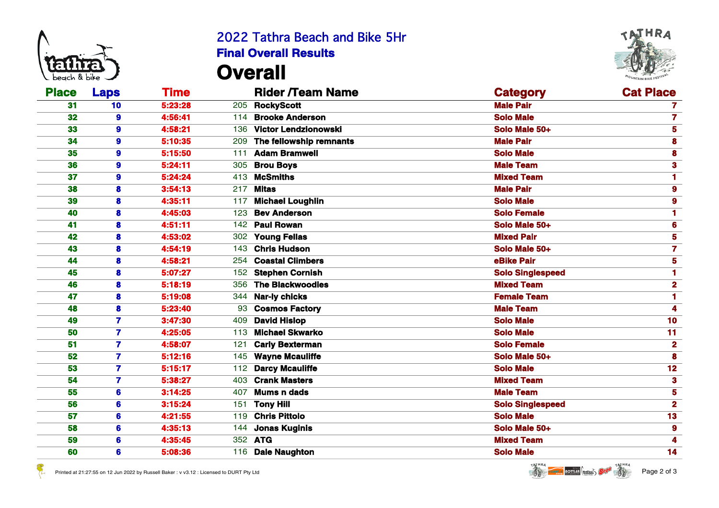

 $\mathcal{E}_{\mu}$ 

## 2022 Tathra Beach and Bike 5Hr **Final Overall Results Overall**



| <b>Place</b> | <b>Laps</b>             | Time    | <b>Rider /Team Name</b>        | <b>Category</b>         | <b>Cat Place</b> |
|--------------|-------------------------|---------|--------------------------------|-------------------------|------------------|
| 31           | 10                      | 5:23:28 | 205 RockyScott                 | <b>Male Pair</b>        | 7                |
| 32           | 9                       | 4:56:41 | 114 Brooke Anderson            | <b>Solo Male</b>        |                  |
| 33           | 9                       | 4:58:21 | 136 Victor Lendzionowski       | Solo Male 50+           |                  |
| 34           | 9                       | 5:10:35 | 209 The fellowship remnants    | <b>Male Pair</b>        |                  |
| 35           | 9                       | 5:15:50 | 111 Adam Bramwell              | <b>Solo Male</b>        |                  |
| 36           | 9                       | 5:24:11 | 305 Brou Boys                  | <b>Male Team</b>        |                  |
| 37           | $\boldsymbol{9}$        | 5:24:24 | 413 McSmiths                   | <b>Mixed Team</b>       |                  |
| 38           | 8                       | 3:54:13 | 217 <b>Mitas</b>               | <b>Male Pair</b>        |                  |
| 39           | 8                       | 4:35:11 | 117 Michael Loughlin           | <b>Solo Male</b>        |                  |
| 40           | 8                       | 4:45:03 | 123 Bev Anderson               | <b>Solo Female</b>      |                  |
| 41           | 8                       | 4:51:11 | 142 Paul Rowan                 | Solo Male 50+           |                  |
| 42           | 8                       | 4:53:02 | 302 Young Fellas               | <b>Mixed Pair</b>       |                  |
| 43           | 8                       | 4:54:19 | 143 Chris Hudson               | Solo Male 50+           |                  |
| 44           | 8                       | 4:58:21 | <b>Coastal Climbers</b><br>254 | eBike Pair              |                  |
| 45           | 8                       | 5:07:27 | 152 Stephen Cornish            | <b>Solo Singlespeed</b> |                  |
| 46           | 8                       | 5:18:19 | 356 The Blackwoodies           | <b>Mixed Team</b>       |                  |
| 47           | 8                       | 5:19:08 | 344 Nar-ly chicks              | <b>Female Team</b>      |                  |
| 48           | 8                       | 5:23:40 | 93 Cosmos Factory              | <b>Male Team</b>        |                  |
| 49           | 7                       | 3:47:30 | 409 David Hislop               | <b>Solo Male</b>        | 10 <sub>1</sub>  |
| 50           | 7                       | 4:25:05 | 113 Michael Skwarko            | <b>Solo Male</b>        | 11 <sub>1</sub>  |
| 51           | 7                       | 4:58:07 | <b>Carly Bexterman</b><br>121  | <b>Solo Female</b>      | $\mathbf{2}$     |
| 52           | $\overline{\mathbf{z}}$ | 5:12:16 | 145 Wayne Mcauliffe            | Solo Male 50+           | 8                |
| 53           | 7                       | 5:15:17 | 112 Darcy Mcauliffe            | <b>Solo Male</b>        | 12 <sub>1</sub>  |
| 54           | 7                       | 5:38:27 | 403 Crank Masters              | <b>Mixed Team</b>       | 3                |
| 55           | 6                       | 3:14:25 | <b>Mums n dads</b><br>407      | <b>Male Team</b>        | 5                |
| 56           | 6                       | 3:15:24 | 151 Tony Hill                  | <b>Solo Singlespeed</b> | $\mathbf{2}$     |
| 57           | 6                       | 4:21:55 | 119 Chris Pittolo              | <b>Solo Male</b>        | 13 <sub>1</sub>  |
| 58           | 6                       | 4:35:13 | 144 Jonas Kuginis              | Solo Male 50+           |                  |
| 59           | 6                       | 4:35:45 | 352 ATG                        | <b>Mixed Team</b>       |                  |
| 60           | 6                       | 5:08:36 | 116 Dale Naughton              | <b>Solo Male</b>        | 14               |